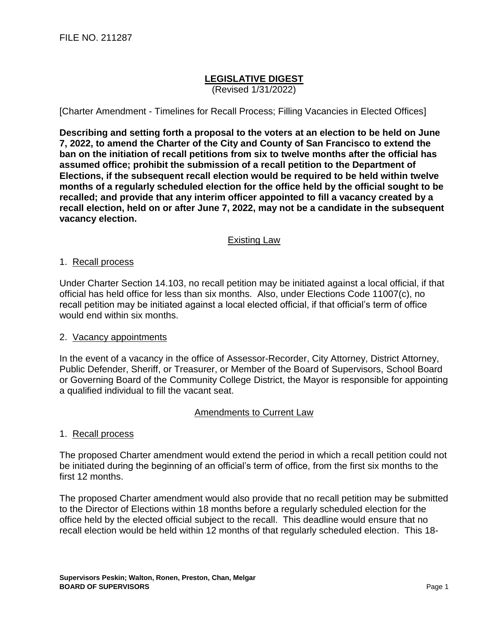# **LEGISLATIVE DIGEST**

(Revised 1/31/2022)

[Charter Amendment - Timelines for Recall Process; Filling Vacancies in Elected Offices]

**Describing and setting forth a proposal to the voters at an election to be held on June 7, 2022, to amend the Charter of the City and County of San Francisco to extend the ban on the initiation of recall petitions from six to twelve months after the official has assumed office; prohibit the submission of a recall petition to the Department of Elections, if the subsequent recall election would be required to be held within twelve months of a regularly scheduled election for the office held by the official sought to be recalled; and provide that any interim officer appointed to fill a vacancy created by a recall election, held on or after June 7, 2022, may not be a candidate in the subsequent vacancy election.**

## Existing Law

#### 1. Recall process

Under Charter Section 14.103, no recall petition may be initiated against a local official, if that official has held office for less than six months. Also, under Elections Code 11007(c), no recall petition may be initiated against a local elected official, if that official's term of office would end within six months.

## 2. Vacancy appointments

In the event of a vacancy in the office of Assessor-Recorder, City Attorney, District Attorney, Public Defender, Sheriff, or Treasurer, or Member of the Board of Supervisors, School Board or Governing Board of the Community College District, the Mayor is responsible for appointing a qualified individual to fill the vacant seat.

#### Amendments to Current Law

## 1. Recall process

The proposed Charter amendment would extend the period in which a recall petition could not be initiated during the beginning of an official's term of office, from the first six months to the first 12 months.

The proposed Charter amendment would also provide that no recall petition may be submitted to the Director of Elections within 18 months before a regularly scheduled election for the office held by the elected official subject to the recall. This deadline would ensure that no recall election would be held within 12 months of that regularly scheduled election. This 18